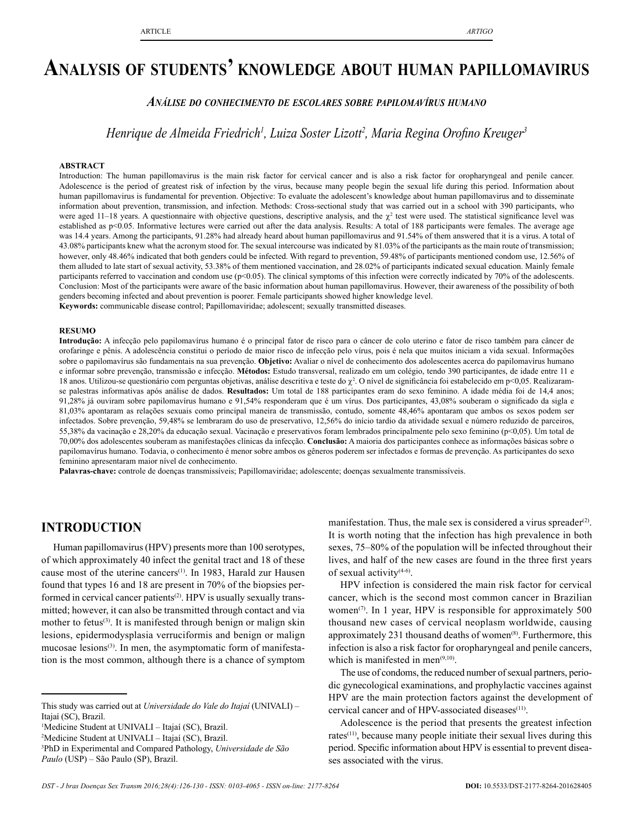# **Analysis of students' knowledge about human papillomavirus**

### *Análise do conhecimento de escolares sobre papilomavírus humano*

*Henrique de Almeida Friedrich1 , Luiza Soster Lizott2 , Maria Regina Orofino Kreuger<sup>3</sup>*

#### **ABSTRACT**

Introduction: The human papillomavirus is the main risk factor for cervical cancer and is also a risk factor for oropharyngeal and penile cancer. Adolescence is the period of greatest risk of infection by the virus, because many people begin the sexual life during this period. Information about human papillomavirus is fundamental for prevention. Objective: To evaluate the adolescent's knowledge about human papillomavirus and to disseminate information about prevention, transmission, and infection. Methods: Cross-sectional study that was carried out in a school with 390 participants, who were aged 11–18 years. A questionnaire with objective questions, descriptive analysis, and the  $\chi^2$  test were used. The statistical significance level was established as p<0.05. Informative lectures were carried out after the data analysis. Results: A total of 188 participants were females. The average age was 14.4 years. Among the participants, 91.28% had already heard about human papillomavirus and 91.54% of them answered that it is a virus. A total of 43.08% participants knew what the acronym stood for. The sexual intercourse was indicated by 81.03% of the participants as the main route of transmission; however, only 48.46% indicated that both genders could be infected. With regard to prevention, 59.48% of participants mentioned condom use, 12.56% of them alluded to late start of sexual activity, 53.38% of them mentioned vaccination, and 28.02% of participants indicated sexual education. Mainly female participants referred to vaccination and condom use (p<0.05). The clinical symptoms of this infection were correctly indicated by 70% of the adolescents. Conclusion: Most of the participants were aware of the basic information about human papillomavirus. However, their awareness of the possibility of both genders becoming infected and about prevention is poorer. Female participants showed higher knowledge level. **Keywords:** communicable disease control; Papillomaviridae; adolescent; sexually transmitted diseases.

#### **RESUMO**

**Introdução:** A infecção pelo papilomavírus humano é o principal fator de risco para o câncer de colo uterino e fator de risco também para câncer de orofaringe e pênis. A adolescência constitui o período de maior risco de infecção pelo vírus, pois é nela que muitos iniciam a vida sexual. Informações sobre o papilomavírus são fundamentais na sua prevenção. **Objetivo:** Avaliar o nível de conhecimento dos adolescentes acerca do papilomavírus humano e informar sobre prevenção, transmissão e infecção. **Métodos:** Estudo transversal, realizado em um colégio, tendo 390 participantes, de idade entre 11 e 18 anos. Utilizou-se questionário com perguntas objetivas, análise descritiva e teste do  $\chi^2$ . O nível de significância foi estabelecido em p<0,05. Realizaramse palestras informativas após análise de dados. **Resultados:** Um total de 188 participantes eram do sexo feminino. A idade média foi de 14,4 anos; 91,28% já ouviram sobre papilomavírus humano e 91,54% responderam que é um vírus. Dos participantes, 43,08% souberam o significado da sigla e 81,03% apontaram as relações sexuais como principal maneira de transmissão, contudo, somente 48,46% apontaram que ambos os sexos podem ser infectados. Sobre prevenção, 59,48% se lembraram do uso de preservativo, 12,56% do início tardio da atividade sexual e número reduzido de parceiros, 55,38% da vacinação e 28,20% da educação sexual. Vacinação e preservativos foram lembrados principalmente pelo sexo feminino (p<0,05). Um total de 70,00% dos adolescentes souberam as manifestações clínicas da infecção. **Conclusão:** A maioria dos participantes conhece as informações básicas sobre o papilomavírus humano. Todavia, o conhecimento é menor sobre ambos os gêneros poderem ser infectados e formas de prevenção. As participantes do sexo feminino apresentaram maior nível de conhecimento.

**Palavras-chave:** controle de doenças transmissíveis; Papillomaviridae; adolescente; doenças sexualmente transmissíveis.

## **INTRODUCTION**

Human papillomavirus (HPV) presents more than 100 serotypes, of which approximately 40 infect the genital tract and 18 of these cause most of the uterine cancers<sup>(1)</sup>. In 1983, Harald zur Hausen found that types 16 and 18 are present in 70% of the biopsies performed in cervical cancer patients<sup>(2)</sup>. HPV is usually sexually transmitted; however, it can also be transmitted through contact and via mother to fetus<sup>(3)</sup>. It is manifested through benign or malign skin lesions, epidermodysplasia verruciformis and benign or malign mucosae lesions<sup>(3)</sup>. In men, the asymptomatic form of manifestation is the most common, although there is a chance of symptom

1 Medicine Student at UNIVALI – Itajaí (SC), Brazil.

2 Medicine Student at UNIVALI – Itajaí (SC), Brazil.

manifestation. Thus, the male sex is considered a virus spreader $(2)$ . It is worth noting that the infection has high prevalence in both sexes, 75–80% of the population will be infected throughout their lives, and half of the new cases are found in the three first years of sexual activity(4-6).

HPV infection is considered the main risk factor for cervical cancer, which is the second most common cancer in Brazilian women<sup>(7)</sup>. In 1 year, HPV is responsible for approximately 500 thousand new cases of cervical neoplasm worldwide, causing approximately  $231$  thousand deaths of women<sup>(8)</sup>. Furthermore, this infection is also a risk factor for oropharyngeal and penile cancers, which is manifested in men $(9,10)$ .

The use of condoms, the reduced number of sexual partners, periodic gynecological examinations, and prophylactic vaccines against HPV are the main protection factors against the development of cervical cancer and of HPV-associated diseases<sup>(11)</sup>.

Adolescence is the period that presents the greatest infection rates<sup>(11)</sup>, because many people initiate their sexual lives during this period. Specific information about HPV is essential to prevent diseases associated with the virus.

This study was carried out at *Universidade do Vale do Itajaí* (UNIVALI) – Itajaí (SC), Brazil.

<sup>3</sup> PhD in Experimental and Compared Pathology, *Universidade de São Paulo* (USP) – São Paulo (SP), Brazil.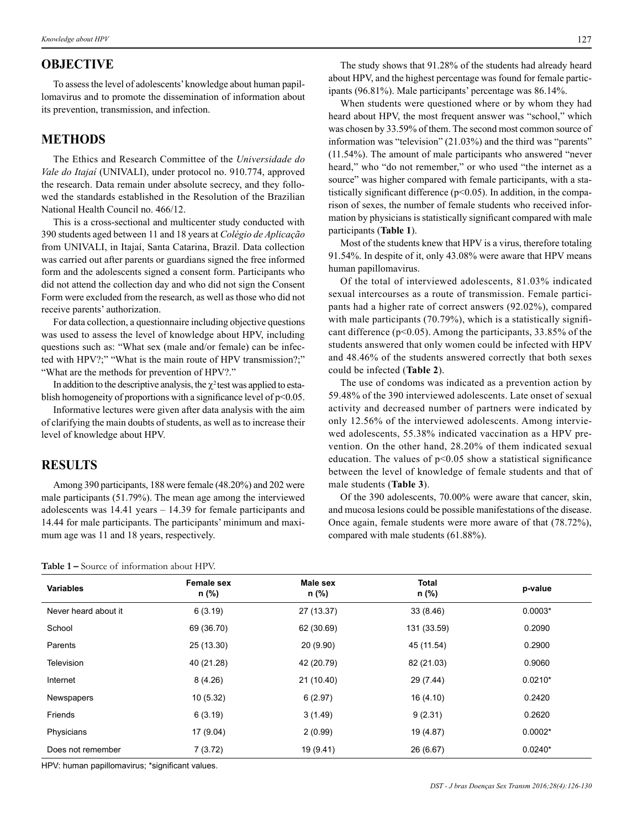# **OBJECTIVE**

To assess the level of adolescents' knowledge about human papillomavirus and to promote the dissemination of information about its prevention, transmission, and infection.

## **METHODS**

The Ethics and Research Committee of the *Universidade do Vale do Itajaí* (UNIVALI), under protocol no. 910.774, approved the research. Data remain under absolute secrecy, and they followed the standards established in the Resolution of the Brazilian National Health Council no. 466/12.

This is a cross-sectional and multicenter study conducted with 390 students aged between 11 and 18 years at *Colégio de Aplicação* from UNIVALI, in Itajaí, Santa Catarina, Brazil. Data collection was carried out after parents or guardians signed the free informed form and the adolescents signed a consent form. Participants who did not attend the collection day and who did not sign the Consent Form were excluded from the research, as well as those who did not receive parents' authorization.

For data collection, a questionnaire including objective questions was used to assess the level of knowledge about HPV, including questions such as: "What sex (male and/or female) can be infected with HPV?;" "What is the main route of HPV transmission?;" "What are the methods for prevention of HPV?."

In addition to the descriptive analysis, the  $\chi^2$  test was applied to establish homogeneity of proportions with a significance level of  $p<0.05$ .

Informative lectures were given after data analysis with the aim of clarifying the main doubts of students, as well as to increase their level of knowledge about HPV.

# **RESULTS**

Among 390 participants, 188 were female (48.20%) and 202 were male participants (51.79%). The mean age among the interviewed adolescents was 14.41 years – 14.39 for female participants and 14.44 for male participants. The participants' minimum and maximum age was 11 and 18 years, respectively.

The study shows that 91.28% of the students had already heard about HPV, and the highest percentage was found for female participants (96.81%). Male participants' percentage was 86.14%.

When students were questioned where or by whom they had heard about HPV, the most frequent answer was "school," which was chosen by 33.59% of them. The second most common source of information was "television" (21.03%) and the third was "parents" (11.54%). The amount of male participants who answered "never heard," who "do not remember," or who used "the internet as a source" was higher compared with female participants, with a statistically significant difference  $(p<0.05)$ . In addition, in the comparison of sexes, the number of female students who received information by physicians is statistically significant compared with male participants (**Table 1**).

Most of the students knew that HPV is a virus, therefore totaling 91.54%. In despite of it, only 43.08% were aware that HPV means human papillomavirus.

Of the total of interviewed adolescents, 81.03% indicated sexual intercourses as a route of transmission. Female participants had a higher rate of correct answers (92.02%), compared with male participants (70.79%), which is a statistically significant difference (p<0.05). Among the participants, 33.85% of the students answered that only women could be infected with HPV and 48.46% of the students answered correctly that both sexes could be infected (**Table 2**).

The use of condoms was indicated as a prevention action by 59.48% of the 390 interviewed adolescents. Late onset of sexual activity and decreased number of partners were indicated by only 12.56% of the interviewed adolescents. Among interviewed adolescents, 55.38% indicated vaccination as a HPV prevention. On the other hand, 28.20% of them indicated sexual education. The values of  $p<0.05$  show a statistical significance between the level of knowledge of female students and that of male students (**Table 3**).

Of the 390 adolescents, 70.00% were aware that cancer, skin, and mucosa lesions could be possible manifestations of the disease. Once again, female students were more aware of that (78.72%), compared with male students (61.88%).

| <b>Table 1 –</b> Source of information about HPV. |  |  |
|---------------------------------------------------|--|--|
|---------------------------------------------------|--|--|

| <b>Variables</b>     | <b>Female sex</b><br>n (%) | Male sex<br>n (%) | <b>Total</b><br>n (%) | p-value   |
|----------------------|----------------------------|-------------------|-----------------------|-----------|
| Never heard about it | 6(3.19)                    | 27 (13.37)        | 33 (8.46)             | $0.0003*$ |
| School               | 69 (36.70)                 | 62 (30.69)        | 131 (33.59)           | 0.2090    |
| Parents              | 25 (13.30)                 | 20 (9.90)         | 45 (11.54)            | 0.2900    |
| Television           | 40 (21.28)                 | 42 (20.79)        | 82 (21.03)            | 0.9060    |
| Internet             | 8(4.26)                    | 21 (10.40)        | 29 (7.44)             | $0.0210*$ |
| Newspapers           | 10(5.32)                   | 6(2.97)           | 16(4.10)              | 0.2420    |
| Friends              | 6(3.19)                    | 3(1.49)           | 9(2.31)               | 0.2620    |
| Physicians           | 17 (9.04)                  | 2(0.99)           | 19 (4.87)             | $0.0002*$ |
| Does not remember    | 7(3.72)                    | 19 (9.41)         | 26 (6.67)             | $0.0240*$ |

HPV: human papillomavirus; \*significant values.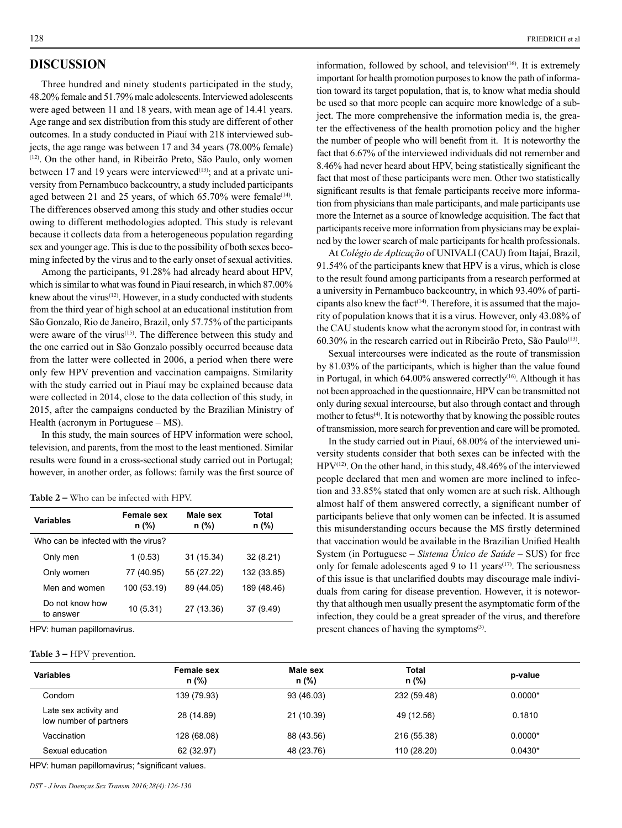# **DISCUSSION**

Three hundred and ninety students participated in the study, 48.20% female and 51.79% male adolescents. Interviewed adolescents were aged between 11 and 18 years, with mean age of 14.41 years. Age range and sex distribution from this study are different of other outcomes. In a study conducted in Piauí with 218 interviewed subjects, the age range was between 17 and 34 years (78.00% female) (12). On the other hand, in Ribeirão Preto, São Paulo, only women between 17 and 19 years were interviewed<sup>(13)</sup>; and at a private university from Pernambuco backcountry, a study included participants aged between 21 and 25 years, of which  $65.70\%$  were female<sup>(14)</sup>. The differences observed among this study and other studies occur owing to different methodologies adopted. This study is relevant because it collects data from a heterogeneous population regarding sex and younger age. This is due to the possibility of both sexes becoming infected by the virus and to the early onset of sexual activities.

Among the participants, 91.28% had already heard about HPV, which is similar to what was found in Piauí research, in which 87.00% knew about the virus<sup>(12)</sup>. However, in a study conducted with students from the third year of high school at an educational institution from São Gonzalo, Rio de Janeiro, Brazil, only 57.75% of the participants were aware of the virus<sup>(15)</sup>. The difference between this study and the one carried out in São Gonzalo possibly occurred because data from the latter were collected in 2006, a period when there were only few HPV prevention and vaccination campaigns. Similarity with the study carried out in Piauí may be explained because data were collected in 2014, close to the data collection of this study, in 2015, after the campaigns conducted by the Brazilian Ministry of Health (acronym in Portuguese – MS).

In this study, the main sources of HPV information were school, television, and parents, from the most to the least mentioned. Similar results were found in a cross-sectional study carried out in Portugal; however, in another order, as follows: family was the first source of

#### **Table 2 –** Who can be infected with HPV.

| <b>Variables</b>                    | <b>Female sex</b><br>n (%) | Male sex<br>n (%) | Total<br>n (%) |  |  |
|-------------------------------------|----------------------------|-------------------|----------------|--|--|
| Who can be infected with the virus? |                            |                   |                |  |  |
| Only men                            | 1(0.53)                    | 31 (15.34)        | 32(8.21)       |  |  |
| Only women                          | 77 (40.95)                 | 55 (27.22)        | 132 (33.85)    |  |  |
| Men and women                       | 100 (53.19)                | 89 (44.05)        | 189 (48.46)    |  |  |
| Do not know how<br>to answer        | 10(5.31)                   | 27 (13.36)        | 37 (9.49)      |  |  |

HPV: human papillomavirus.

#### **Table 3 –** HPV prevention.

information, followed by school, and television $(16)$ . It is extremely important for health promotion purposes to know the path of information toward its target population, that is, to know what media should be used so that more people can acquire more knowledge of a subject. The more comprehensive the information media is, the greater the effectiveness of the health promotion policy and the higher the number of people who will benefit from it. It is noteworthy the fact that 6.67% of the interviewed individuals did not remember and 8.46% had never heard about HPV, being statistically significant the fact that most of these participants were men. Other two statistically significant results is that female participants receive more information from physicians than male participants, and male participants use more the Internet as a source of knowledge acquisition. The fact that participants receive more information from physicians may be explained by the lower search of male participants for health professionals.

At *Colégio de Aplicação* of UNIVALI (CAU) from Itajaí, Brazil, 91.54% of the participants knew that HPV is a virus, which is close to the result found among participants from a research performed at a university in Pernambuco backcountry, in which 93.40% of participants also knew the fact<sup> $(14)$ </sup>. Therefore, it is assumed that the majority of population knows that it is a virus. However, only 43.08% of the CAU students know what the acronym stood for, in contrast with 60.30% in the research carried out in Ribeirão Preto, São Paulo(13).

Sexual intercourses were indicated as the route of transmission by 81.03% of the participants, which is higher than the value found in Portugal, in which 64.00% answered correctly<sup>(16)</sup>. Although it has not been approached in the questionnaire, HPV can be transmitted not only during sexual intercourse, but also through contact and through mother to fetus $(4)$ . It is noteworthy that by knowing the possible routes of transmission, more search for prevention and care will be promoted.

In the study carried out in Piauí, 68.00% of the interviewed university students consider that both sexes can be infected with the HPV(12). On the other hand, in this study, 48.46% of the interviewed people declared that men and women are more inclined to infection and 33.85% stated that only women are at such risk. Although almost half of them answered correctly, a significant number of participants believe that only women can be infected. It is assumed this misunderstanding occurs because the MS firstly determined that vaccination would be available in the Brazilian Unified Health System (in Portuguese – *Sistema Único de Saúde* – SUS) for free only for female adolescents aged 9 to 11 years<sup> $(17)$ </sup>. The seriousness of this issue is that unclarified doubts may discourage male individuals from caring for disease prevention. However, it is noteworthy that although men usually present the asymptomatic form of the infection, they could be a great spreader of the virus, and therefore present chances of having the symptoms<sup>(3)</sup>.

| <b>Variables</b>                                | <b>Female sex</b><br>$n$ (%) | Male sex<br>n (%) | <b>Total</b><br>$n$ (%) | p-value   |
|-------------------------------------------------|------------------------------|-------------------|-------------------------|-----------|
| Condom                                          | 139 (79.93)                  | 93 (46.03)        | 232 (59.48)             | $0.0000*$ |
| Late sex activity and<br>low number of partners | 28 (14.89)                   | 21 (10.39)        | 49 (12.56)              | 0.1810    |
| Vaccination                                     | 128 (68.08)                  | 88 (43.56)        | 216 (55.38)             | $0.0000*$ |
| Sexual education                                | 62 (32.97)                   | 48 (23.76)        | 110 (28.20)             | $0.0430*$ |

HPV: human papillomavirus; \*significant values.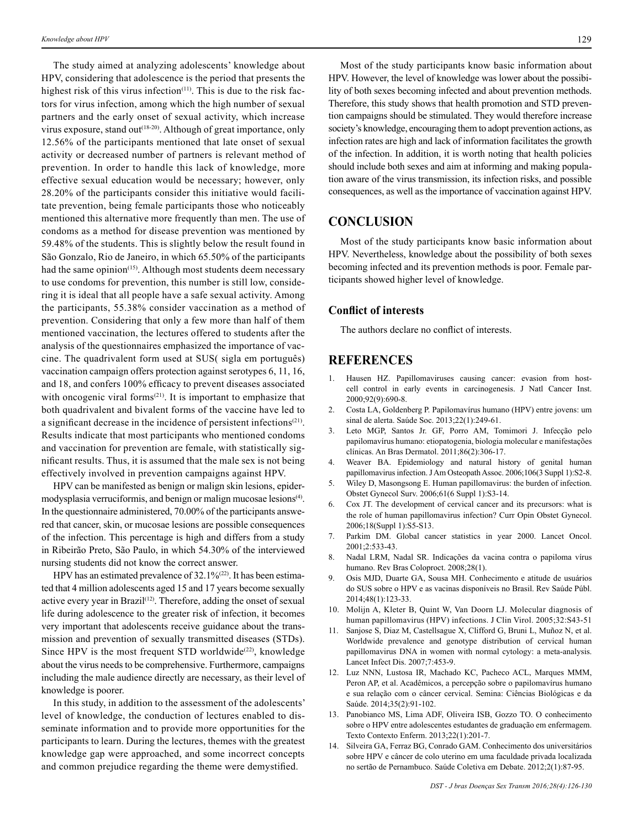The study aimed at analyzing adolescents' knowledge about HPV, considering that adolescence is the period that presents the highest risk of this virus infection<sup> $(11)$ </sup>. This is due to the risk factors for virus infection, among which the high number of sexual partners and the early onset of sexual activity, which increase virus exposure, stand out<sup>(18-20)</sup>. Although of great importance, only 12.56% of the participants mentioned that late onset of sexual activity or decreased number of partners is relevant method of prevention. In order to handle this lack of knowledge, more effective sexual education would be necessary; however, only 28.20% of the participants consider this initiative would facilitate prevention, being female participants those who noticeably mentioned this alternative more frequently than men. The use of condoms as a method for disease prevention was mentioned by 59.48% of the students. This is slightly below the result found in São Gonzalo, Rio de Janeiro, in which 65.50% of the participants had the same opinion<sup>(15)</sup>. Although most students deem necessary to use condoms for prevention, this number is still low, considering it is ideal that all people have a safe sexual activity. Among the participants, 55.38% consider vaccination as a method of prevention. Considering that only a few more than half of them mentioned vaccination, the lectures offered to students after the analysis of the questionnaires emphasized the importance of vaccine. The quadrivalent form used at SUS( sigla em português) vaccination campaign offers protection against serotypes 6, 11, 16, and 18, and confers 100% efficacy to prevent diseases associated with oncogenic viral forms<sup> $(21)$ </sup>. It is important to emphasize that both quadrivalent and bivalent forms of the vaccine have led to a significant decrease in the incidence of persistent infections<sup>(21)</sup>. Results indicate that most participants who mentioned condoms and vaccination for prevention are female, with statistically significant results. Thus, it is assumed that the male sex is not being effectively involved in prevention campaigns against HPV.

HPV can be manifested as benign or malign skin lesions, epidermodysplasia verruciformis, and benign or malign mucosae lesions<sup>(4)</sup>. In the questionnaire administered, 70.00% of the participants answered that cancer, skin, or mucosae lesions are possible consequences of the infection. This percentage is high and differs from a study in Ribeirão Preto, São Paulo, in which 54.30% of the interviewed nursing students did not know the correct answer.

HPV has an estimated prevalence of  $32.1\%^{(22)}$ . It has been estimated that 4 million adolescents aged 15 and 17 years become sexually active every year in Brazil $(12)$ . Therefore, adding the onset of sexual life during adolescence to the greater risk of infection, it becomes very important that adolescents receive guidance about the transmission and prevention of sexually transmitted diseases (STDs). Since HPV is the most frequent STD worldwide<sup>(22)</sup>, knowledge about the virus needs to be comprehensive. Furthermore, campaigns including the male audience directly are necessary, as their level of knowledge is poorer.

In this study, in addition to the assessment of the adolescents' level of knowledge, the conduction of lectures enabled to disseminate information and to provide more opportunities for the participants to learn. During the lectures, themes with the greatest knowledge gap were approached, and some incorrect concepts and common prejudice regarding the theme were demystified.

Most of the study participants know basic information about HPV. However, the level of knowledge was lower about the possibility of both sexes becoming infected and about prevention methods. Therefore, this study shows that health promotion and STD prevention campaigns should be stimulated. They would therefore increase society's knowledge, encouraging them to adopt prevention actions, as infection rates are high and lack of information facilitates the growth of the infection. In addition, it is worth noting that health policies should include both sexes and aim at informing and making population aware of the virus transmission, its infection risks, and possible consequences, as well as the importance of vaccination against HPV.

### **CONCLUSION**

Most of the study participants know basic information about HPV. Nevertheless, knowledge about the possibility of both sexes becoming infected and its prevention methods is poor. Female participants showed higher level of knowledge.

### **Conflict of interests**

The authors declare no conflict of interests.

# **REFERENCES**

- 1. Hausen HZ. Papillomaviruses causing cancer: evasion from hostcell control in early events in carcinogenesis. J Natl Cancer Inst. 2000;92(9):690-8.
- 2. Costa LA, Goldenberg P. Papilomavírus humano (HPV) entre jovens: um sinal de alerta. Saúde Soc. 2013;22(1):249-61.
- 3. Leto MGP, Santos Jr. GF, Porro AM, Tomimori J. Infecção pelo papilomavírus humano: etiopatogenia, biologia molecular e manifestações clínicas. An Bras Dermatol. 2011;86(2):306-17.
- 4. Weaver BA. Epidemiology and natural history of genital human papillomavirus infection. J Am Osteopath Assoc. 2006;106(3 Suppl 1):S2-8.
- 5. Wiley D, Masongsong E. Human papillomavirus: the burden of infection. Obstet Gynecol Surv. 2006;61(6 Suppl 1):S3-14.
- 6. Cox JT. The development of cervical cancer and its precursors: what is the role of human papillomavirus infection? Curr Opin Obstet Gynecol. 2006;18(Suppl 1):S5-S13.
- 7. Parkim DM. Global cancer statistics in year 2000. Lancet Oncol. 2001;2:533-43.
- 8. Nadal LRM, Nadal SR. Indicações da vacina contra o papiloma vírus humano. Rev Bras Coloproct. 2008;28(1).
- 9. Osis MJD, Duarte GA, Sousa MH. Conhecimento e atitude de usuários do SUS sobre o HPV e as vacinas disponíveis no Brasil. Rev Saúde Públ. 2014;48(1):123-33.
- 10. Molijn A, Kleter B, Quint W, Van Doorn LJ. Molecular diagnosis of human papillomavirus (HPV) infections. J Clin Virol. 2005;32:S43-51
- 11. Sanjose S, Diaz M, Castellsague X, Clifford G, Bruni L, Muñoz N, et al. Worldwide prevalence and genotype distribution of cervical human papillomavirus DNA in women with normal cytology: a meta-analysis. Lancet Infect Dis. 2007;7:453-9.
- 12. Luz NNN, Lustosa IR, Machado KC, Pacheco ACL, Marques MMM, Peron AP, et al. Acadêmicos, a percepção sobre o papilomavírus humano e sua relação com o câncer cervical. Semina: Ciências Biológicas e da Saúde. 2014;35(2):91-102.
- 13. Panobianco MS, Lima ADF, Oliveira ISB, Gozzo TO. O conhecimento sobre o HPV entre adolescentes estudantes de graduação em enfermagem. Texto Contexto Enferm. 2013;22(1):201-7.
- 14. Silveira GA, Ferraz BG, Conrado GAM. Conhecimento dos universitários sobre HPV e câncer de colo uterino em uma faculdade privada localizada no sertão de Pernambuco. Saúde Coletiva em Debate. 2012;2(1):87-95.